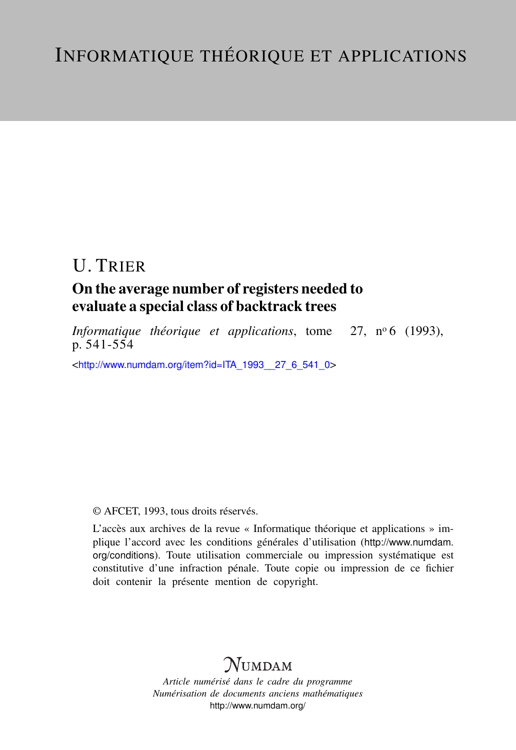# U. TRIER

## On the average number of registers needed to evaluate a special class of backtrack trees

*Informatique théorique et applications*, tome 27, nº6 (1993), p. 541-554

<[http://www.numdam.org/item?id=ITA\\_1993\\_\\_27\\_6\\_541\\_0](http://www.numdam.org/item?id=ITA_1993__27_6_541_0)>

## © AFCET, 1993, tous droits réservés.

L'accès aux archives de la revue « Informatique théorique et applications » implique l'accord avec les conditions générales d'utilisation ([http://www.numdam.](http://www.numdam.org/conditions) [org/conditions](http://www.numdam.org/conditions)). Toute utilisation commerciale ou impression systématique est constitutive d'une infraction pénale. Toute copie ou impression de ce fichier doit contenir la présente mention de copyright.

## $N$ UMDAM

*Article numérisé dans le cadre du programme Numérisation de documents anciens mathématiques* <http://www.numdam.org/>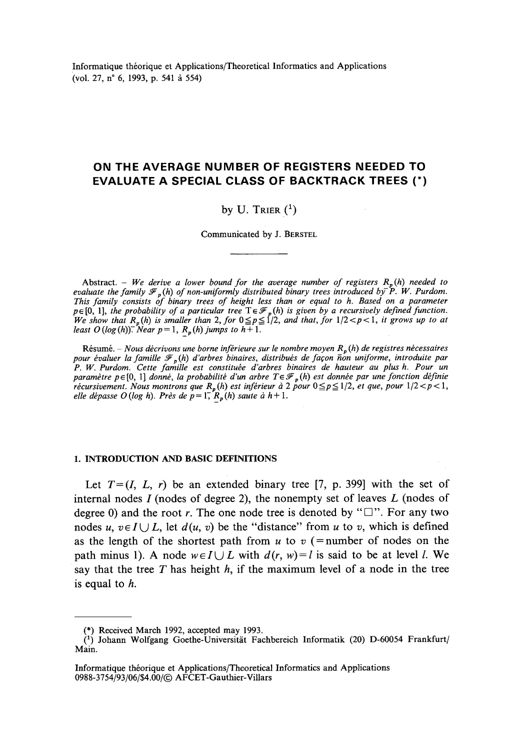Informatique théorique et Applications/Theoretical Informaties and Applications (vol. 27, n° 6, 1993, p. 541 à 554)

## **ON THE AVERAGE NUMBER OF REGISTERS NEEDED TO EVALUATE A SPECIAL CLASS OF BACKTRACK TREES (\*)**

### by U. Trier  $(1)$

Communicated by J. BERSTEL

Abstract. - *We dérive a lower bound for the average number of registers Rp (h) needed to evaluate the family*  $\mathcal{F}_p(h)$  *of non-uniformly distributed binary trees introduced by* P. W. Purdom. *This family consists of binary trees of height less thon or equal to h. Based on a parameter*  $p \in [0, 1]$ , the probability of a particular tree  $T \in \mathcal{F}_p(h)$  is given by a recursively defined function. *We show that*  $R_p(h)$  is smaller than 2, for  $0 \leq p \leq 1/2$ , and that, for  $1/2 < p < 1$ , it grows up to at *least O* (*log*(*h*)). Near  $p = 1$ ,  $R_p(h)$  jumps to  $h + 1$ .

Résumé. - *Nous décrivons une borne inférieure sur le nombre moyen Rp (h) de registres nécessaires pour évaluer la famille* J^*p(h) d'arbres binaires^ distribués de façon non uniforme, introduite par P. W. Purdom. Cette famille est constituée d'arbres binaires de hauteur au plus h. Pour un paramètre p* e [0, 1] *donné, la probabilité d'un arbre Te^p(h) est donnée par une fonction définie récursivement. Nous montrons que*  $R_p(h)$  *est inférieur à 2 pour*  $0 \leq p \leq 1/2$ *, et que, pour*  $1/2 < p < 1$ *, elle dépasse O (log h). Près de p =* 17 *Rp (h) saute à h* + 1.

#### **1. INTRODUCTION AND BASIC DEFINITIONS**

Let  $T=(I, L, r)$  be an extended binary tree [7, p. 399] with the set of internai nodes *I* (nodes of degree 2), the nonempty set of leaves *L* (nodes of degree 0) and the root r. The one node tree is denoted by " $\square$ ". For any two nodes u,  $v \in I \cup L$ , let  $d(u, v)$  be the "distance" from u to v, which is defined as the length of the shortest path from  $u$  to  $v$  (=number of nodes on the path minus 1). A node  $w \in I \cup L$  with  $d(r, w) = l$  is said to be at level *l*. We say that the tree *T* has height *h,* if the maximum level of a node in the tree is equal to *h.*

<sup>(\*)</sup> Received March 1992, accepted may 1993.

<sup>&</sup>lt;sup>(1)</sup> Johann Wolfgang Goethe-Universität Fachbereich Informatik (20) D-60054 Frankfurt/ Main.

Informatique théorique et Applications/Theoretical Informaties and Applications 0988-3754/93/06/S4.00/© AFCET-Gauthier-Villars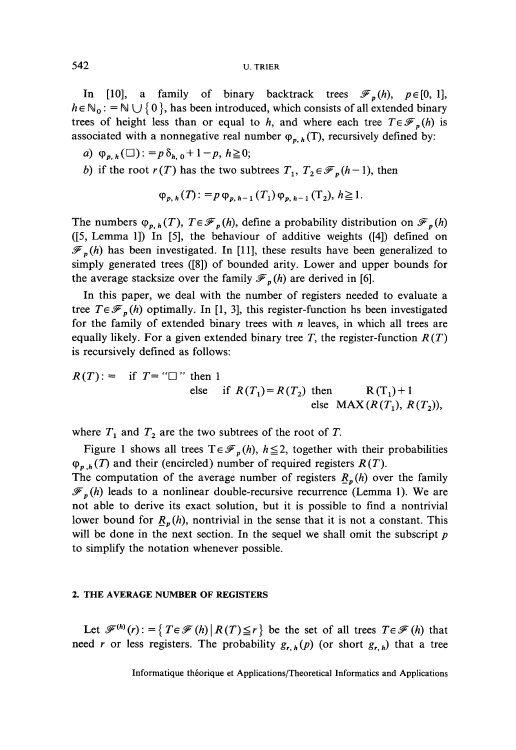In [10], a family of binary backtrack trees  $\mathcal{F}_p(h)$ ,  $p \in [0, 1]$ ,  $h \in N_0$ :  $N \cup \{0\}$ , has been introduced, which consists of all extended binary trees of height less than or equal to h, and where each tree  $T \in \mathcal{F}_p(h)$  is associated with a nonnegative real number  $\varphi_{n,h}$  (T), recursively defined by:

- *a*)  $\varphi_{p,h}(\square)$ : =  $p\delta_{h,0}$  + 1  $p, h \ge 0$ ;
- *b*) if the root  $r(T)$  has the two subtrees  $T_1, T_2 \in \mathcal{F}_n(h-1)$ , then

$$
\varphi_{p,h}(T) := p \varphi_{p,h-1}(T_1) \varphi_{p,h-1}(T_2), h \ge 1.
$$

The numbers  $\varphi_{p,h}(T)$ ,  $T \in \mathscr{F}_p(h)$ , define a probability distribution on  $\mathscr{F}_p(h)$ ([5, Lemma 1]) In [5], the behaviour of additive weights ([4]) defined on  $\mathscr{F}_p(h)$  has been investigated. In [11], these results have been generalized to simply generated trees ([8]) of bounded arity. Lower and upper bounds for the average stacksize over the family  $\mathcal{F}_p(h)$  are derived in [6].

In this paper, we deal with the number of registers needed to evaluate a tree  $T \in \mathcal{F}_p(h)$  optimally. In [1, 3], this register-function hs been investigated for the family of extended binary trees with *n* leaves, in which all trees are equally likely. For a given extended binary tree *T,* the register-function *R(T)* is recursively defined as follows:

$$
R(T) := \text{if } T = \text{``} \square \text{'' then 1}
$$
  
else if  $R(T_1) = R(T_2)$  then  $R(T_1) + 1$   
else MAX $(R(T_1), R(T_2))$ ,

where  $T_1$  and  $T_2$  are the two subtrees of the root of  $T$ .

Figure 1 shows all trees  $T \in \mathcal{F}_p(h)$ ,  $h \le 2$ , together with their probabilities  $\varphi_{p,h}(T)$  and their (encircled) number of required registers  $R(T)$ .

The computation of the average number of registers  $R_p(h)$  over the family  $\mathcal{F}_{p}(h)$  leads to a nonlinear double-recursive recurrence (Lemma 1). We are not able to dérive its exact solution, but it is possible to find a nontrivial lower bound for  $R_p(h)$ , nontrivial in the sense that it is not a constant. This will be done in the next section. In the sequel we shall omit the subscript *p* to simplify the notation whenever possible.

#### **2. THE AVERAGE NUMBER OF REGISTERS**

Let  $\mathscr{F}^{(h)}(r): = \{ T \in \mathscr{F}(h) \mid R(T) \le r \}$  be the set of all trees  $T \in \mathscr{F}(h)$  that need *r* or less registers. The probability  $g_{r, h}(p)$  (or short  $g_{r, h}$ ) that a tree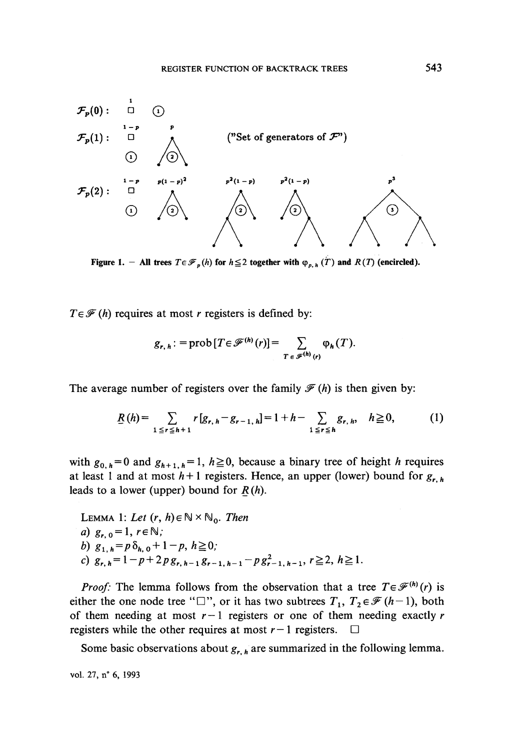

**Figure 1.** - All trees  $T \in \mathcal{F}_p(h)$  for  $h \leq 2$  together with  $\varphi_{p,h}(T)$  and  $R(T)$  (encircled).

 $T \in \mathcal{F}(h)$  requires at most *r* registers is defined by:

$$
g_{r, h} : = \text{prob}\left[T \in \mathscr{F}^{(h)}(r)\right] = \sum_{T \in \mathscr{F}^{(h)}(r)} \varphi_h(T).
$$

The average number of registers over the family  $\mathcal{F}(h)$  is then given by:

$$
\underline{R}(h) = \sum_{1 \leq r \leq h+1} r[g_{r,h} - g_{r-1,h}] = 1 + h - \sum_{1 \leq r \leq h} g_{r,h}, \quad h \geq 0,
$$
 (1)

with  $g_{0, h} = 0$  and  $g_{h+1, h} = 1$ ,  $h \ge 0$ , because a binary tree of height *h* requires at least 1 and at most  $h+1$  registers. Hence, an upper (lower) bound for  $g_{r,h}$ leads to a lower (upper) bound for *R(h).*

LEMMA 1: Let 
$$
(r, h) \in \mathbb{N} \times \mathbb{N}_0
$$
. Then  
\na)  $g_{r, 0} = 1, r \in \mathbb{N}$ ;  
\nb)  $g_{1, h} = p \delta_{h, 0} + 1 - p, h \ge 0$ ;  
\nc)  $g_{r, h} = 1 - p + 2p g_{r, h-1} g_{r-1, h-1} - p g_{r-1, h-1}^2, r \ge 2, h \ge 1$ .

*Proof:* The lemma follows from the observation that a tree  $T \in \mathcal{F}^{(h)}(r)$  is either the one node tree " $\square$ ", or it has two subtrees  $T_1, T_2 \in \mathcal{F}$  (h-1), both of them needing at most *r—l* registers or one of them needing exactly *r* registers while the other requires at most  $r-1$  registers.  $\Box$ 

Some basic observations about *gr h* are summarized in the following lemma.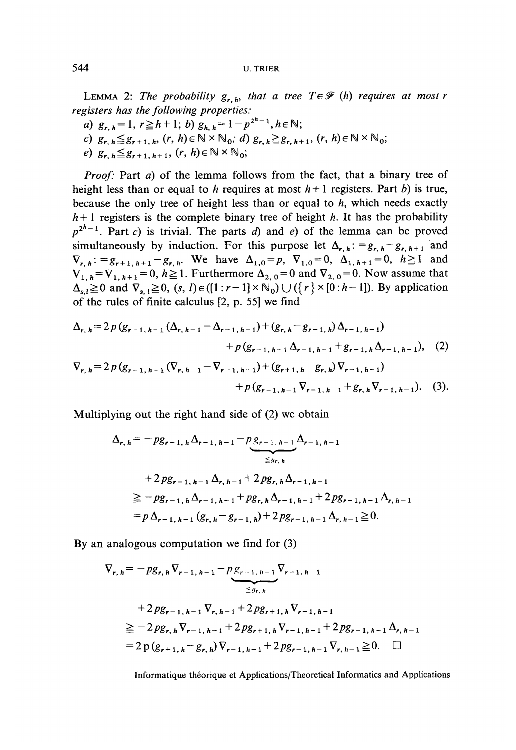LEMMA 2: The probability  $g_{r,h}$  that a tree  $T \in \mathcal{F}(h)$  requires at most r *registers has the following properties:*

- *a*)  $g_{r, h} = 1, r \ge h + 1; b) g_{h, h} = 1 p^{2^{h}-1}, h \in \mathbb{N};$
- $\mathbb{N}_0$ ; d)  $g_{r, h} \geq g_{r, h+1}$ ,  $(r, h) \in \mathbb{N} \times \mathbb{N}_0$ ;
- *e*)  $g_{r,h} \leq g_{r+1,h+1}$ ,  $(r, h) \in \mathbb{N} \times \mathbb{N}_0$ ;

*Proof:* Part *a)* of the lemma follows from the fact, that a binary tree of height less than or equal to h requires at most  $h+1$  registers. Part b) is true, because the only tree of height less than or equal to *h,* which needs exactly  $h+1$  registers is the complete binary tree of height h. It has the probability  $p^{2^h-1}$ . Part *c*) is trivial. The parts *d*) and *e*) of the lemma can be proved simultaneously by induction. For this purpose let  $\Delta_{r,h}$ : =  $g_{r,h}$  -  $g_{r,h+1}$  and  $\nabla_{r,h}$ : =  $g_{r+1,h+1}-g_{r,h}$ . We have  $\Delta_{1,0} = p$ ,  $\nabla_{1,0} = 0$ ,  $\Delta_{1,h+1} = 0$ ,  $h \ge 1$  and  $V_{1, h} = \nabla_{1, h+1} = 0, h \ge 1$ . Furthermore  $\Delta_{2, 0} = 0$  and  $\nabla_{2, 0} = 0$ . Now assume that  $\Delta_{s,i} \ge 0$  and  $\nabla_{s,i} \ge 0$ ,  $(s, l) \in ([1 : r - 1] \times \mathbb{N}_0) \cup (\{r\} \times [0 : h - 1])$ . By application of the rules of finite calculus  $[2, p. 55]$  we find

$$
\Delta_{r, h} = 2 p (g_{r-1, h-1} (\Delta_{r, h-1} - \Delta_{r-1, h-1}) + (g_{r, h} - g_{r-1, h}) \Delta_{r-1, h-1}) + p (g_{r-1, h-1} \Delta_{r-1, h-1} + g_{r-1, h} \Delta_{r-1, h-1}), (2) \n\nabla_{r, h} = 2 p (g_{r-1, h-1} (\nabla_{r, h-1} - \nabla_{r-1, h-1}) + (g_{r+1, h} - g_{r, h}) \nabla_{r-1, h-1}) + p (g_{r-1, h-1} \nabla_{r-1, h-1} + g_{r, h} \nabla_{r-1, h-1}). (3).
$$

Multiplying out the right hand side of (2) we obtain

$$
\Delta_{r, h} = -pg_{r-1, h} \Delta_{r-1, h-1} - p g_{r-1, h-1} \Delta_{r-1, h-1}
$$
  
+ 
$$
2 pg_{r-1, h-1} \Delta_{r, h-1} + 2 pg_{r, h} \Delta_{r-1, h-1}
$$
  

$$
\geq -pg_{r-1, h} \Delta_{r-1, h-1} + pg_{r, h} \Delta_{r-1, h-1} + 2 pg_{r-1, h-1} \Delta_{r, h-1}
$$
  
=  $p \Delta_{r-1, h-1} (g_{r, h} - g_{r-1, h}) + 2 pg_{r-1, h-1} \Delta_{r, h-1} \geq 0.$ 

By an analogous computation we find for (3)

$$
\nabla_{r, h} = -pg_{r, h} \nabla_{r-1, h-1} - p g_{r-1, h-1} \nabla_{r-1, h-1}
$$
\n
$$
+ 2 pg_{r-1, h-1} \nabla_{r, h-1} + 2 pg_{r+1, h} \nabla_{r-1, h-1}
$$
\n
$$
\geq -2 pg_{r, h} \nabla_{r-1, h-1} + 2 pg_{r+1, h} \nabla_{r-1, h-1} + 2 pg_{r-1, h-1} \Delta_{r, h-1}
$$
\n
$$
= 2 p (g_{r+1, h} - g_{r, h}) \nabla_{r-1, h-1} + 2 pg_{r-1, h-1} \nabla_{r, h-1} \geq 0. \quad \Box
$$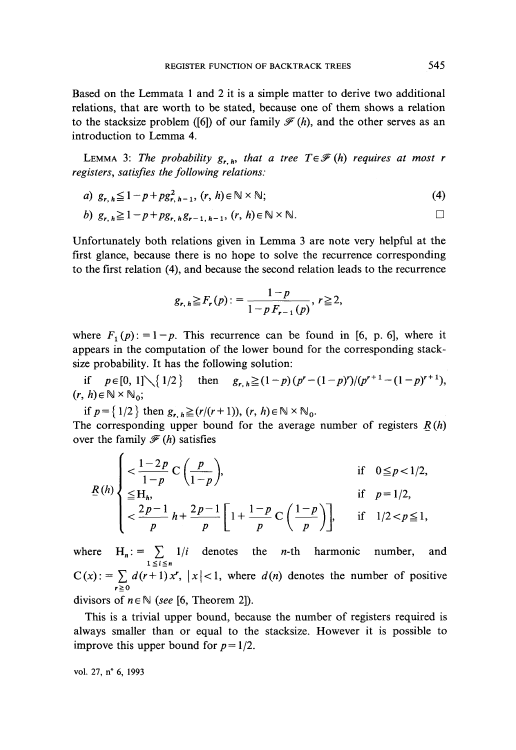Based on the Lemmata 1 and 2 it is a simple matter to derive two additional relations, that are worth to be stated, because one of them shows a relation to the stacksize problem ([6]) of our family  $\mathcal{F}(h)$ , and the other serves as an introduction to Lemma 4.

LEMMA 3: The probability  $g_{r,h}$ *, that a tree T* $\in \mathcal{F}(h)$  requires at most r *registers, satisfies the following relations:*

a) 
$$
g_{r, h} \leq 1 - p + pg_{r, h-1}^2
$$
,  $(r, h) \in \mathbb{N} \times \mathbb{N}$ ;  $(4)$ 

b) 
$$
g_{r, h} \geq 1 - p + pg_{r, h}g_{r-1, h-1}, (r, h) \in \mathbb{N} \times \mathbb{N}.
$$

Unfortunately both relations given in Lemma 3 are note very helpful at the first glance, because there is no hope to solve the récurrence corresponding to the first relation (4), and because the second relation leads to the recurrence

$$
g_{r, h} \geq F_r(p) := \frac{1-p}{1-p F_{r-1}(p)}, r \geq 2,
$$

where  $F_1(p)$ :  $=1-p$ . This recurrence can be found in [6, p. 6], where it appears in the computation of the lower bound for the corresponding stack-

size probability. It has the following solution:<br>
if  $p \in [0, 1] \setminus \{1/2\}$  then  $g_{r, h} \ge (1-p)(p^r - (1-p)^r)/(p^{r+1} - (1-p)^{r+1})$ , if  $p \in [0, 1] \setminus \{1/2\}$ <br>  $(r, h) \in \mathbb{N} \times \mathbb{N}_0$ ;

*if*  $p = \{1/2\}$  then  $g_{r, h} \geq (r/(r+1)), (r, h) \in \mathbb{N} \times \mathbb{N}_0$ .

The corresponding upper bound for the average number of registers *R(h)* over the family  $\mathcal{F}(h)$  satisfies

$$
\underline{R}(h) \begin{cases} < \frac{1-2p}{1-p} \mathbf{C} \left( \frac{p}{1-p} \right), & \text{if } 0 \leq p < 1/2, \\ \leq \mathbf{H}_h, & \text{if } p = 1/2, \\ < \frac{2p-1}{p} h + \frac{2p-1}{p} \left[ 1 + \frac{1-p}{p} \mathbf{C} \left( \frac{1-p}{p} \right) \right], & \text{if } 1/2 < p \leq 1, \end{cases}
$$

where  $H_n := \sum_{i=1}^n 1/i$  denotes the *n*-th harmonic number, and  $C(x)$ : =  $\sum d(r+1)x^{r}$ ,  $|x|<1$ , where  $d(n)$  denotes the number of positive divisors of  $n \in \mathbb{N}$  (see [6, Theorem 2]).

This is a trivial upper bound, because the number of registers required is always smaller than or equal to the stacksize. However it is possible to improve this upper bound for *p=* 1/2.

vol. 27, n° 6, 1993

 $\lambda$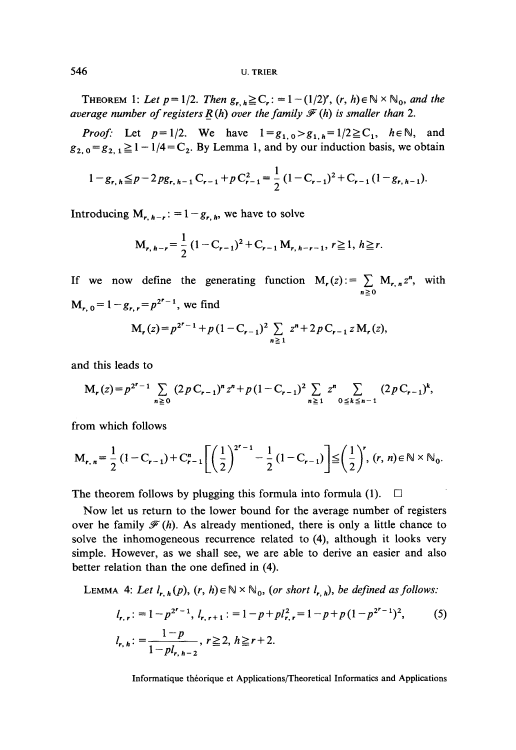THEOREM 1: Let  $p = 1/2$ . Then  $g_{r, h} \ge C_r$ :  $= 1 - (1/2)^r$ ,  $(r, h) \in N \times N_0$ , and the *average number of registers*  $R(h)$  *over the family*  $F(h)$  *is smaller than* 2.

*Proof:* Let  $p=1/2$ . We have  $1=g_{1,0}>g_{1,h}=1/2 \ge C_1$ ,  $h \in \mathbb{N}$ , and  $g_{2,0} = g_{2,1} \ge 1 - 1/4 = C_2$ . By Lemma 1, and by our induction basis, we obtain

$$
1 - g_{r, h} \leq p - 2 p g_{r, h-1} C_{r-1} + p C_{r-1}^2 = \frac{1}{2} (1 - C_{r-1})^2 + C_{r-1} (1 - g_{r, h-1}).
$$

Introducing  $M_{r, h-r}$ : = 1 –  $g_{r, h}$ , we have to solve

$$
M_{r, h-r} = \frac{1}{2} (1 - C_{r-1})^2 + C_{r-1} M_{r, h-r-1}, r \ge 1, h \ge r.
$$

If we now define the generating function  $M_r(z) := \sum M_{r,n} z^n$ , with  $M_{r, 0} = 1 - g_{r, r} = p^{2^{r} - 1}$ , we find

$$
M_{r}(z) = p^{2^{r}-1} + p(1 - C_{r-1})^{2} \sum_{n \geq 1} z^{n} + 2 p C_{r-1} z M_{r}(z),
$$

and this leads to

$$
M_{r}(z) = p^{2^{r}-1} \sum_{n \geq 0} (2 p C_{r-1})^{n} z^{n} + p (1 - C_{r-1})^{2} \sum_{n \geq 1} z^{n} \sum_{0 \leq k \leq n-1} (2 p C_{r-1})^{k},
$$

from which follows

$$
M_{r,n} = \frac{1}{2} (1 - C_{r-1}) + C_{r-1}^{n} \left[ \left( \frac{1}{2} \right)^{2^{r}-1} - \frac{1}{2} (1 - C_{r-1}) \right] \leq \left( \frac{1}{2} \right)^{r}, (r, n) \in \mathbb{N} \times \mathbb{N}_{0}.
$$

The theorem follows by plugging this formula into formula (1).  $\Box$ 

Now let us return to the lower bound for the average number of registers over he family  $\mathcal{F}(h)$ . As already mentioned, there is only a little chance to solve the inhomogeneous recurrence related to (4), although it looks very simple. However, as we shall see, we are able to dérive an easier and also better relation than the one defined in (4).

LEMMA 4: Let  $l_{r,h}(p)$ ,  $(r, h) \in \mathbb{N} \times \mathbb{N}_0$ , (or short  $l_{r,h}$ ), be defined as follows:

$$
l_{r,\,r} := 1 - p^{2^r - 1}, \, l_{r,\,r+1} := 1 - p + pl_{r,\,r}^2 = 1 - p + p(1 - p^{2^r - 1})^2,\tag{5}
$$
\n
$$
l_{r,\,h} := \frac{1 - p}{1 - pl_{r,\,h-2}}, \, r \ge 2, \, h \ge r + 2.
$$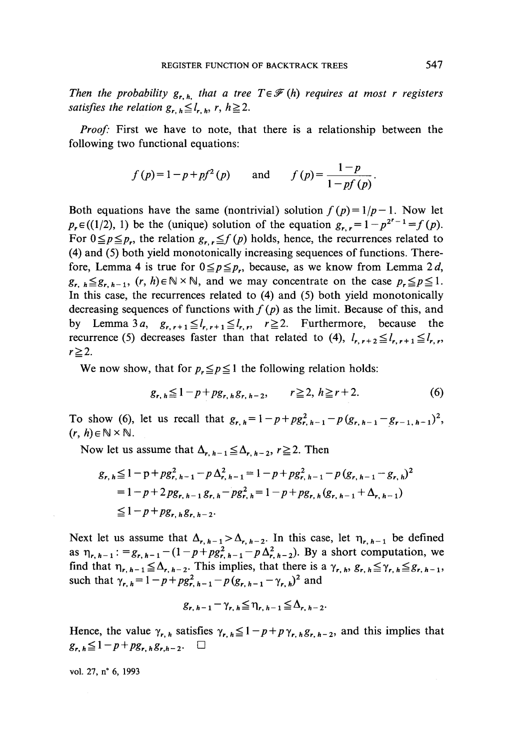*Then the probability*  $g_{r,h}$  *that a tree T* $\in \mathcal{F}(h)$  *requires at most r registers satisfies the relation*  $g_{r, h} \leq l_{r, h}$ ,  $r, h \geq 2$ .

*Proof:* First we have to note, that there is a relationship between the following two functional equations:

$$
f(p)=1-p+pf^{2}(p)
$$
 and  $f(p)=\frac{1-p}{1-pf(p)}$ .

Both equations have the same (nontrivial) solution  $f(p)=1/p-1$ . Now let  $p_r \in ((1/2), 1)$  be the (unique) solution of the equation  $g_{r,r} = 1 - p^{2^r - 1} = f(p)$ . For  $0 \leq p \leq p_r$ , the relation  $g_{r, r} \leq f(p)$  holds, hence, the recurrences related to (4) and (5) both yield monotonically increasing séquences of functions. Therefore, Lemma 4 is true for  $0 \leq p \leq p_r$ , because, as we know from Lemma 2 d,  $g_{r, h} \leq g_{r, h-1}$ ,  $(r, h) \in \mathbb{N} \times \mathbb{N}$ , and we may concentrate on the case  $p_r \leq p \leq 1$ . In this case, the recurrences related to  $(4)$  and  $(5)$  both yield monotonically decreasing sequences of functions with  $f(p)$  as the limit. Because of this, and by Lemma 3*a*,  $g_{r, r+1} \leq l_{r, r+1} \leq l_{r, r}$ ,  $r \geq 2$ . Furthermore, because the recurrence (5) decreases faster than that related to (4),  $l_{r, r+2} \leq l_{r, r+1} \leq l_{r, r}$  $r \geq 2$ .

We now show, that for  $p_r \leq p \leq 1$  the following relation holds:

$$
g_{r, h} \leq 1 - p + pg_{r, h} g_{r, h-2}, \qquad r \geq 2, h \geq r + 2. \tag{6}
$$

To show (6), let us recall that  $g_{r,h}=1-p+p g_{r,h-1}^2-p(g_{r,h-1}-g_{r-1,h-1})^2$ ,  $(r, h) \in \mathbb{N} \times \mathbb{N}$ .

Now let us assume that  $\Delta_{r, h-1} \leq \Delta_{r, h-2}$ ,  $r \geq 2$ . Then

$$
g_{r,h} \leq 1 - p + pg_{r,h-1}^2 - p \Delta_{r,h-1}^2 = 1 - p + pg_{r,h-1}^2 - p (g_{r,h-1} - g_{r,h})^2
$$
  
= 1 - p + 2 pg\_{r,h-1} g\_{r,h} - pg\_{r,h}^2 = 1 - p + pg\_{r,h} (g\_{r,h-1} + \Delta\_{r,h-1})  

$$
\leq 1 - p + pg_{r,h} g_{r,h-2}.
$$

Next let us assume that  $\Delta_{r, h-1} > \Delta_{r, h-2}$ . In this case, let  $\eta_{r, h-1}$  be defined as  $\eta_{r, h-1}$ : =  $g_{r, h-1} - (1-p+pg_{r, h-1}^2-p\Delta_{r, h-2}^2)$ . By a short computation, we find that  $\eta_{r, h-1} \leq \Delta_{r, h-2}$ . This implies, that there is a  $\gamma_{r, h}, g_{r, h} \leq \gamma_{r, h} \leq g_{r, h-1}$ , such that  $\gamma_{r, h} = 1 - p + pg_{r, h-1}^2 - p(g_{r, h-1} - \gamma_{r, h})^2$  and

$$
g_{r, h-1} - \gamma_{r, h} \leq \eta_{r, h-1} \leq \Delta_{r, h-2}.
$$

Hence, the value  $\gamma_{r,h}$  satisfies  $\gamma_{r,h} \leq 1-p+p\gamma_{r,h}g_{r,h-2}$ , and this implies that  $g_{r, h} \leq 1 - p + pg_{r, h} g_{r, h-2}$ .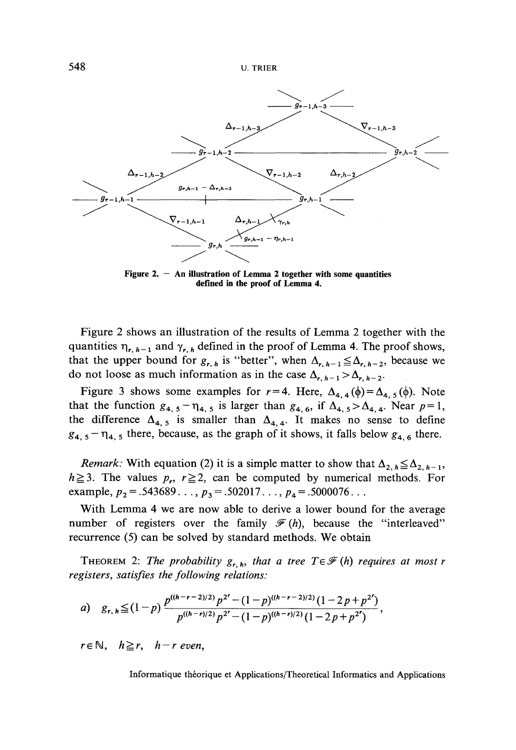

**Figure 2. — An illustration of Lemma 2 together with some quantifies defined in the proof of Lemma 4.**

Figure 2 shows an illustration of the results of Lemma 2 together with the quantities  $\eta_{r, h-1}$  and  $\gamma_{r, h}$  defined in the proof of Lemma 4. The proof shows, that the upper bound for  $g_{r, h}$  is "better", when  $\Delta_{r, h-1} \leq \Delta_{r, h-2}$ , because we do not loose as much information as in the case  $\Delta_{r, h-1} > \Delta_{r, h-2}$ 

Figure 3 shows some examples for  $r = 4$ . Here,  $\Delta_{4,4} (\phi) = \Delta_{4,5} (\phi)$ . Note that the function  $g_{4,5} - \eta_{4,5}$  is larger than  $g_{4,6}$ , if  $\Delta_{4,5} > \Delta_{4,4}$ . Near  $p=1$ , the difference  $\Delta_{4,5}$  is smaller than  $\Delta_{4,4}$ . It makes no sense to define  $g_{4,5}$  –  $\eta_{4,5}$  there, because, as the graph of it shows, it falls below  $g_{4,6}$  there.

*Remark:* With equation (2) it is a simple matter to show that  $\Delta_{2,h} \leq \Delta_{2,h-1}$ ,  $h \ge 3$ . The values  $p_r$ ,  $r \ge 2$ , can be computed by numerical methods. For example,  $p_2$  = .543689...,  $p_3$  = .502017...,  $p_4$  = .5000076...

With Lemma 4 we are now able to derive a lower bound for the average number of registers over the family  $\mathcal{F}(h)$ , because the "interleaved" recurrence  $(5)$  can be solved by standard methods. We obtain

THEOREM 2: The probability  $g_{r,h}$ *, that a tree T* $\in$   $\mathcal{F}(h)$  requires at most r *registers, satisfies the folio wing relations:*

a) 
$$
g_{r, h} \leq (1-p) \frac{p^{((h-r-2)/2)} p^{2^r} - (1-p)^{((h-r-2)/2)} (1-2p+p^{2^r})}{p^{((h-r)/2)} p^{2^r} - (1-p)^{((h-r)/2)} (1-2p+p^{2^r})},
$$

 $r \in \mathbb{N}$ ,  $h \geq r$ ,  $h - r$  even,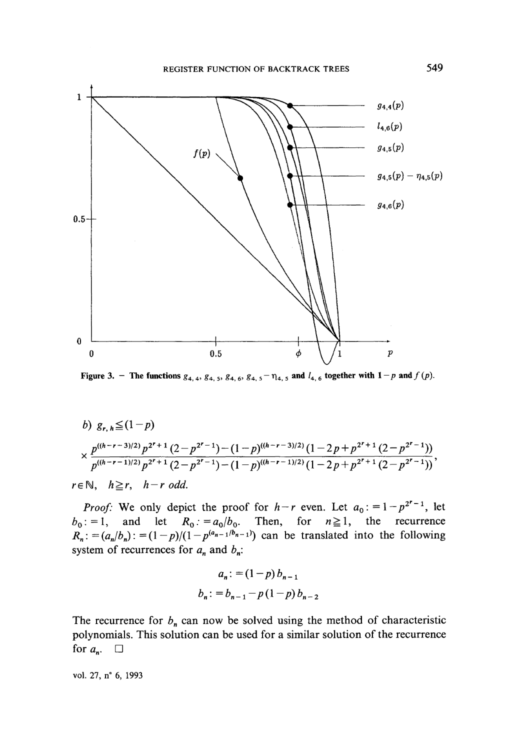

**Figure 3.** - The functions  $g_{4, 4}$ ,  $g_{4, 5}$ ,  $g_{4, 6}$ ,  $g_{4, 5}$  -  $\eta_{4, 5}$  and  $l_{4, 6}$  together with  $1 - p$  and  $f(p)$ .

b)  $g_{r,h} \leq (1-p)$  $\times \frac{p^{((h-r-3)/2)}p^{2^r+1}(2-p^{2^r-1})-(1-p)^{((h-r-3)/2)}(1-2p+p^{2^r+1}(2-p^{2^r-1}))}{p^{((h-r-1)/2)}p^{2^r+1}(2-p^{2^r-1})-(1-p)^{((h-r-1)/2)}(1-2p+p^{2^r+1}(2-p^{2^r-1}))},$ 

 $r \in \mathbb{N}$ ,  $h \ge r$ ,  $h-r$  odd.

*Proof:* We only depict the proof for  $h-r$  even. Let  $a_0$ :  $=1-p^{2r-1}$ , let  $b_0$ : = 1, and let  $R_0$ : =  $a_0/b_0$ . Then, for  $n \ge 1$ , the recurrence  $R_n: = (a_n/b_n): = (1-p)/(1-p^{(a_{n-1}/b_{n-1})})$  can be translated into the following system of recurrences for  $a_n$  and  $b_n$ :

$$
a_n := (1-p) b_{n-1}
$$
  

$$
b_n := b_{n-1} - p(1-p) b_{n-2}
$$

The recurrence for  $b_n$  can now be solved using the method of characteristic polynomials. This solution can be used for a similar solution of the recurrence for  $a_n$ .  $\square$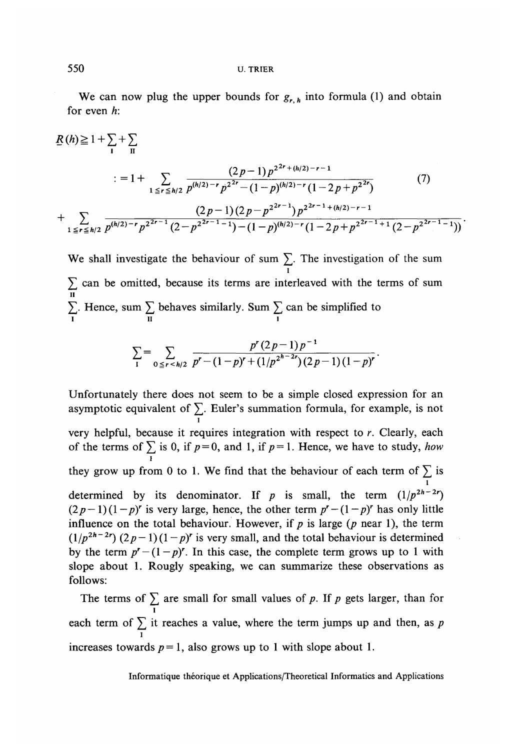We can now plug the upper bounds for  $g_{r, h}$  into formula (1) and obtain for even *h:*

$$
\underline{R}(h) \geq 1 + \sum_{1} + \sum_{\Pi}
$$
\n
$$
= 1 + \sum_{1 \leq r \leq h/2} \frac{(2p-1)p^{2^{2r} + (h/2) - r - 1}}{p^{(h/2) - r} p^{2^{2r} - (1-p)^{(h/2) - r}(1 - 2p + p^{2^{2r}})}} \tag{7}
$$
\n
$$
+ \sum_{1 \leq r \leq h/2} \frac{(2p-1)(2p - p^{2^{2r-1}})p^{2^{2r-1} + (h/2) - r - 1}}{(2p-1)(2p - p^{2^{2r-1}})p^{2^{2r-1} + (h/2) - r - 1}} \tag{7}
$$

We shall investigate the behaviour of sum  $\sum_{1}$ . The investigation of the sum *Y,* can be omitted, because its terms are interleaved with the terms of sum u  $\Sigma$ . Hence, sum  $\Sigma$  behaves similarly. Sum  $\Sigma$  can be simplified to **i u i**

$$
\sum_{1} = \sum_{0 \leq r < h/2} \frac{p^r (2p-1) p^{-1}}{p^r - (1-p)^r + (1/p^{2^{h-2r}}) (2p-1) (1-p)^r}.
$$

Unfortunately there does not seem to be a simple closed expression for an asymptotic equivalent of  $\Sigma$ . Euler's summation formula, for example, is not very helpful, because it requires integration with respect to *r*. Clearly, each of the terms of  $\sum$  is 0, if  $p=0$ , and 1, if  $p=1$ . Hence, we have to study, *how i* they grow up from 0 to 1. We find that the behaviour of each term of  $\sum_{1}$  is determined by its denominator. If *p* is small, the term  $(1/p^{2h-2r})$  $(2p-1)(1-p)^r$  is very large, hence, the other term  $p^r - (1-p)^r$  has only little influence on the total behaviour. However, if *p* is large *(p* near 1), the term  $(1/p^{2h-2r}) (2p-1)(1-p)^r$  is very small, and the total behaviour is determined by the term  $p^r - (1 - p)^r$ . In this case, the complete term grows up to 1 with slope about 1. Rougly speaking, we can summarize these observations as follows:

The terms of  $\sum$  are small for small values of p. If p gets larger, than for **i** each term of  $\sum$  it reaches a value, where the term jumps up and then, as p **i** increases towards  $p=1$ , also grows up to 1 with slope about 1.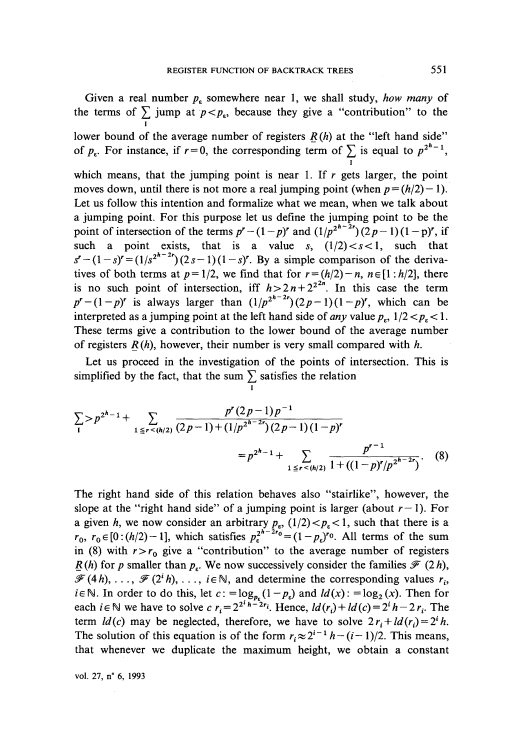Given a real number  $p_{\varepsilon}$  somewhere near 1, we shall study, *how many* of the terms of  $\sum$  jump at  $p < p_{\varepsilon}$ , because they give a "contribution" to the lower bound of the average number of registers  $R(h)$  at the "left hand side" of  $p_e$ . For instance, if  $r=0$ , the corresponding term of  $\sum$  is equal to  $p^{2n-1}$ , **i** which means, that the jumping point is near 1. If *r* gets larger, the point moves down, until there is not more a real jumping point (when  $p = (h/2) - 1$ ). Let us follow this intention and formalize what we mean, when we talk about a jumping point. For this purpose let us define the jumping point to be the point of intersection of the terms  $p^r - (1-p)^r$  and  $\left(\frac{1}{p^2} - 2\right)(2p - 1)(1-p)^r$ , if such a point exists, that is a value  $s$ ,  $(1/2) < s < 1$ , such that  $s' - (1-s)' = (1/s^{2n})^2(2s-1)(1-s)'$ . By a simple comparison of the derivatives of both terms at  $p=1/2$ , we find that for  $r = (h/2)-n$ ,  $n \in [1 : h/2]$ , there is no such point of intersection, iff  $h > 2n + 2^{2n}$ . In this case the term  $p^r - (1-p)^r$  is always larger than  $(1/p^{2^n-2r})(2p-1)(1-p)^r$ , which can be interpreted as a jumping point at the left hand side of *any* value  $p_r$ ,  $1/2 < p_s < 1$ . These terms give a contribution to the lower bound of the average number of registers *R(h),* however, their number is very small compared with *h.*

Let us proceed in the investigation of the points of intersection. This is simplified by the fact, that the sum  $\sum_{I}$  satisfies the relation

$$
\sum_{1} > p^{2^{h}-1} + \sum_{1 \leq r < (h/2)} \frac{p^r (2p-1)p^{-1}}{(2p-1) + (1/p^{2^{h-2}r})(2p-1)(1-p)^r} = p^{2^{h}-1} + \sum_{1 \leq r < (h/2)} \frac{p^{r-1}}{1 + ((1-p)^r/p^{2^{h-2}r})}.
$$
 (8)

The right hand side of this relation behaves also "stairlike", however, the slope at the "right hand side" of a jumping point is larger (about  $r-1$ ). For a given *h*, we now consider an arbitrary  $p_e$ ,  $(1/2) < p_e < 1$ , such that there is a  $r_0$ ,  $r_0 \in [0:(h/2)-1]$ , which satisfies  $p_{\varepsilon}^{2^{h-2r_0}} = (1-p_{\varepsilon})^{r_0}$ . All terms of the sum in (8) with  $r > r_0$  give a "contribution" to the average number of registers *R*(*h*) for *p* smaller than  $p_e$ . We now successively consider the families  $\mathcal{F}(2h)$ ,  $\mathscr{F}(4h), \ldots, \mathscr{F}(2^i h), \ldots, i \in \mathbb{N}$ , and determine the corresponding values  $r_i$ ,  $i \in \mathbb{N}$ . In order to do this, let  $c: = \log_{p_c}(1-p_c)$  and  $ld(x): = \log_2(x)$ . Then for each  $i \in \mathbb{N}$  we have to solve  $c r_i = 2^{2i} h^{-2r_i}$ . Hence,  $ld(r_i) + ld(c) = 2^i h - 2r_i$ . The term  $ld(c)$  may be neglected, therefore, we have to solve  $2r_i + ld(r_i) = 2^i h$ . The solution of this equation is of the form  $r_i \approx 2^{i-1} h - (i-1)/2$ . This means, that whenever we duplicate the maximum height, we obtain a constant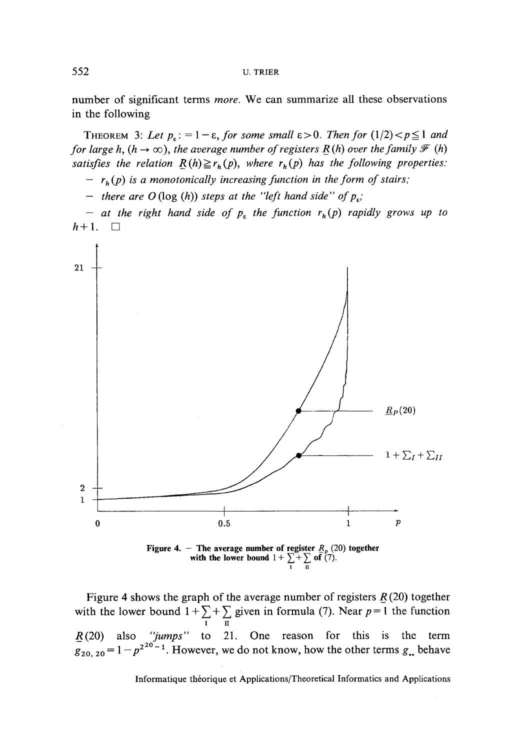number of significant terms *more.* We can summarize all these observations in the following

THEOREM 3: Let  $p_{\varepsilon}$ : = 1 -  $\varepsilon$ , for some small  $\varepsilon$  > 0. Then for  $(1/2) < p \le 1$  and *for large h,*  $(h \rightarrow \infty)$ *, the average number of registers R(h) over the family*  $\mathcal{F}(h)$ *satisfies the relation*  $\underline{R}(h) \ge r_h(p)$ , where  $r_h(p)$  has the following properties:

 $- r<sub>h</sub>(p)$  is a monotonically increasing function in the form of stairs;

*—* there are  $O(\log(h))$  steps at the "left hand side" of  $p_{\varepsilon}$ ;

*— at the right hand side of p<sup>z</sup> the function rh (p) rapidly grows up to*  $h+1$ .  $\Box$ 



Figure 4 shows the graph of the average number of registers *R* (20) together with the lower bound  $1 + \sum_{i=1}^{n}$  given in formula (7). Near  $p=1$  the function i u *R* (20) also *"jumps"* to 21. One reason for this is the term  $g_{20, 20} = 1 - p^{2^{20}-1}$ . However, we do not know, how the other terms  $g_{\bullet}$  behave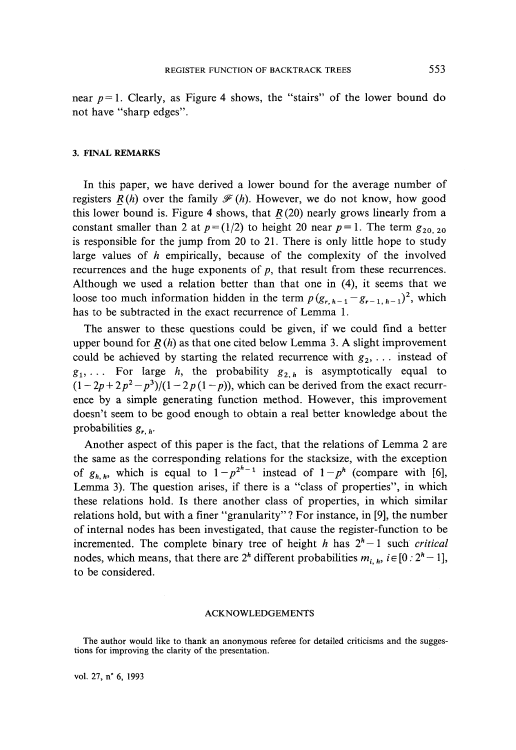near  $p=1$ . Clearly, as Figure 4 shows, the "stairs" of the lower bound do not have "sharp edges".

#### **3. FINAL REMARKS**

In this paper, we have derived a lower bound for the average number of registers  $R(h)$  over the family  $\mathcal{F}(h)$ . However, we do not know, how good this lower bound is. Figure 4 shows, that  $R(20)$  nearly grows linearly from a constant smaller than 2 at  $p = (1/2)$  to height 20 near  $p = 1$ . The term  $g_{20, 20}$ is responsible for the jump from 20 to 21. There is only little hope to study large values of *h* empirically, because of the complexity of the involved recurrences and the huge exponents of  $p$ , that result from these recurrences. Although we used a relation better than that one in (4), it seems that we loose too much information hidden in the term  $p(g_{r, h-1} - g_{r-1, h-1})^2$ , which has to be subtracted in the exact recurrence of Lemma 1.

The answer to these questions could be given, if we could find a better upper bound for *R (h)* as that one cited below Lemma 3. A slight improvement could be achieved by starting the related recurrence with  $g_2$ , ... instead of  $g_1, \ldots$  For large *h*, the probability  $g_{2,h}$  is asymptotically equal to  $(1 - 2p + 2p^2 - p^3)/(1 - 2p(1 - p))$ , which can be derived from the exact recurrence by a simple generating function method. However, this improvement doesn't seem to be good enough to obtain a real better knowledge about the probabilities *gr h.*

Another aspect of this paper is the fact, that the relations of Lemma 2 are the same as the corresponding relations for the stacksize, with the exception of  $g_{h,h}$ , which is equal to  $1 - p^{2^h-1}$  instead of  $1 - p^h$  (compare with [6], Lemma 3). The question arises, if there is a "class of properties", in which these relations hold. Is there another class of properties, in which similar relations hold, but with a finer "granularity" ? For instance, in [9], the number of internai nodes has been investigated, that cause the register-function to be incremented. The complete binary tree of height *h* has  $2<sup>h</sup>-1$  such *critical* nodes, which means, that there are  $2^h$  different probabilities  $m_{i,h}$ ,  $i \in [0:2^h-1]$ , to be considered.

#### ACKNOWLEDGEMENTS

The author would like to thank an anonymous referee for detailed criticisms and the suggestions for improving the clarity of the presentation.